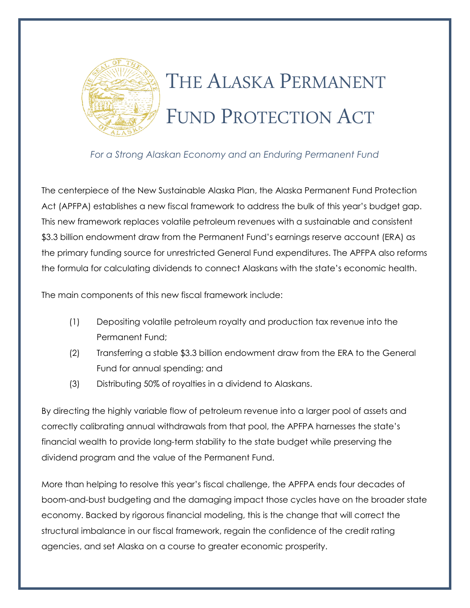

# THE ALASKA PERMANENT FUND PROTECTION ACT

*For a Strong Alaskan Economy and an Enduring Permanent Fund*

The centerpiece of the New Sustainable Alaska Plan, the Alaska Permanent Fund Protection Act (APFPA) establishes a new fiscal framework to address the bulk of this year's budget gap. This new framework replaces volatile petroleum revenues with a sustainable and consistent \$3.3 billion endowment draw from the Permanent Fund's earnings reserve account (ERA) as the primary funding source for unrestricted General Fund expenditures. The APFPA also reforms the formula for calculating dividends to connect Alaskans with the state's economic health.

The main components of this new fiscal framework include:

- (1) Depositing volatile petroleum royalty and production tax revenue into the Permanent Fund;
- (2) Transferring a stable \$3.3 billion endowment draw from the ERA to the General Fund for annual spending; and
- (3) Distributing 50% of royalties in a dividend to Alaskans.

By directing the highly variable flow of petroleum revenue into a larger pool of assets and correctly calibrating annual withdrawals from that pool, the APFPA harnesses the state's financial wealth to provide long-term stability to the state budget while preserving the dividend program and the value of the Permanent Fund.

More than helping to resolve this year's fiscal challenge, the APFPA ends four decades of boom-and-bust budgeting and the damaging impact those cycles have on the broader state economy. Backed by rigorous financial modeling, this is the change that will correct the structural imbalance in our fiscal framework, regain the confidence of the credit rating agencies, and set Alaska on a course to greater economic prosperity.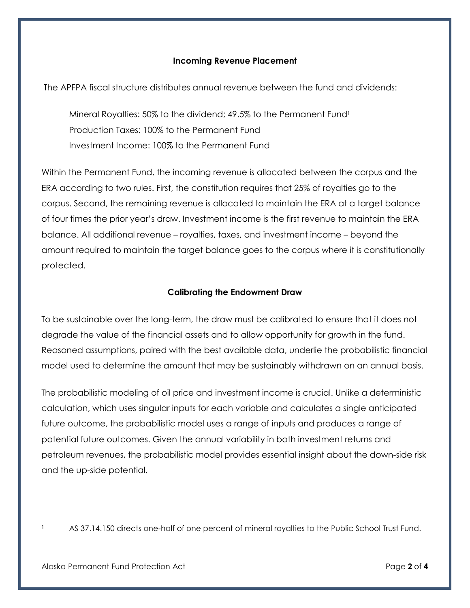### **Incoming Revenue Placement**

The APFPA fiscal structure distributes annual revenue between the fund and dividends:

Mineral Royalties: 50% to the dividend; 49.5% to the Permanent Fund<sup>1</sup> Production Taxes: 100% to the Permanent Fund Investment Income: 100% to the Permanent Fund

Within the Permanent Fund, the incoming revenue is allocated between the corpus and the ERA according to two rules. First, the constitution requires that 25% of royalties go to the corpus. Second, the remaining revenue is allocated to maintain the ERA at a target balance of four times the prior year's draw. Investment income is the first revenue to maintain the ERA balance. All additional revenue – royalties, taxes, and investment income – beyond the amount required to maintain the target balance goes to the corpus where it is constitutionally protected.

### **Calibrating the Endowment Draw**

To be sustainable over the long-term, the draw must be calibrated to ensure that it does not degrade the value of the financial assets and to allow opportunity for growth in the fund. Reasoned assumptions, paired with the best available data, underlie the probabilistic financial model used to determine the amount that may be sustainably withdrawn on an annual basis.

The probabilistic modeling of oil price and investment income is crucial. Unlike a deterministic calculation, which uses singular inputs for each variable and calculates a single anticipated future outcome, the probabilistic model uses a range of inputs and produces a range of potential future outcomes. Given the annual variability in both investment returns and petroleum revenues, the probabilistic model provides essential insight about the down-side risk and the up-side potential.

 $\overline{a}$ 

AS 37.14.150 directs one-half of one percent of mineral royalties to the Public School Trust Fund.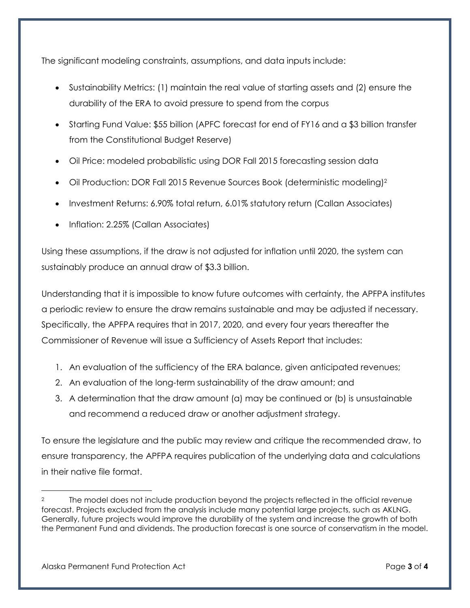The significant modeling constraints, assumptions, and data inputs include:

- Sustainability Metrics: (1) maintain the real value of starting assets and (2) ensure the durability of the ERA to avoid pressure to spend from the corpus
- Starting Fund Value: \$55 billion (APFC forecast for end of FY16 and a \$3 billion transfer from the Constitutional Budget Reserve)
- Oil Price: modeled probabilistic using DOR Fall 2015 forecasting session data
- Oil Production: DOR Fall 2015 Revenue Sources Book (deterministic modeling)<sup>2</sup>
- Investment Returns: 6.90% total return, 6.01% statutory return (Callan Associates)
- Inflation: 2.25% (Callan Associates)

Using these assumptions, if the draw is not adjusted for inflation until 2020, the system can sustainably produce an annual draw of \$3.3 billion.

Understanding that it is impossible to know future outcomes with certainty, the APFPA institutes a periodic review to ensure the draw remains sustainable and may be adjusted if necessary. Specifically, the APFPA requires that in 2017, 2020, and every four years thereafter the Commissioner of Revenue will issue a Sufficiency of Assets Report that includes:

- 1. An evaluation of the sufficiency of the ERA balance, given anticipated revenues;
- 2. An evaluation of the long-term sustainability of the draw amount; and
- 3. A determination that the draw amount (a) may be continued or (b) is unsustainable and recommend a reduced draw or another adjustment strategy.

To ensure the legislature and the public may review and critique the recommended draw, to ensure transparency, the APFPA requires publication of the underlying data and calculations in their native file format.

 $\overline{a}$ 

The model does not include production beyond the projects reflected in the official revenue forecast. Projects excluded from the analysis include many potential large projects, such as AKLNG. Generally, future projects would improve the durability of the system and increase the growth of both the Permanent Fund and dividends. The production forecast is one source of conservatism in the model.